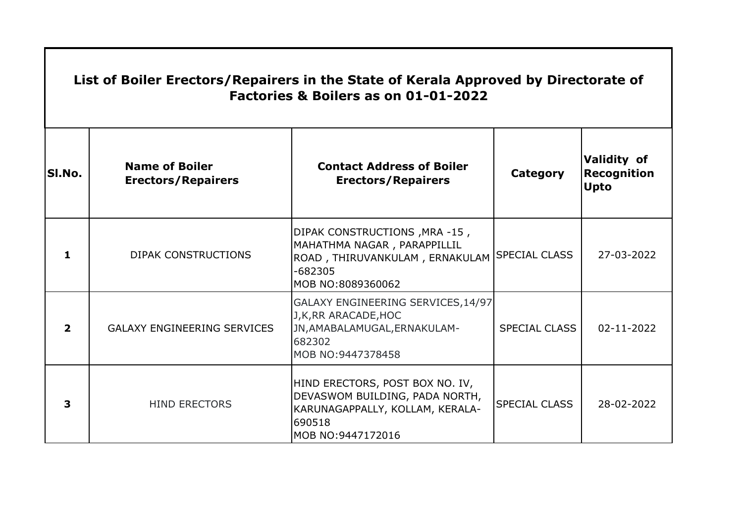| List of Boiler Erectors/Repairers in the State of Kerala Approved by Directorate of<br>Factories & Boilers as on 01-01-2022 |                                                    |                                                                                                                                     |                      |                                                         |  |
|-----------------------------------------------------------------------------------------------------------------------------|----------------------------------------------------|-------------------------------------------------------------------------------------------------------------------------------------|----------------------|---------------------------------------------------------|--|
| SI.No.                                                                                                                      | <b>Name of Boiler</b><br><b>Erectors/Repairers</b> | <b>Contact Address of Boiler</b><br><b>Erectors/Repairers</b>                                                                       | <b>Category</b>      | <b>Validity of</b><br><b>Recognition</b><br><b>Upto</b> |  |
| 1.                                                                                                                          | <b>DIPAK CONSTRUCTIONS</b>                         | DIPAK CONSTRUCTIONS, MRA-15,<br>MAHATHMA NAGAR, PARAPPILLIL<br>ROAD, THIRUVANKULAM, ERNAKULAM<br>$-682305$<br>MOB NO:8089360062     | <b>SPECIAL CLASS</b> | 27-03-2022                                              |  |
| $\overline{\mathbf{2}}$                                                                                                     | <b>GALAXY ENGINEERING SERVICES</b>                 | GALAXY ENGINEERING SERVICES, 14/97<br>J, K, RR ARACADE, HOC<br>JN, AMABALAMUGAL, ERNAKULAM-<br>682302<br>MOB NO:9447378458          | <b>SPECIAL CLASS</b> | 02-11-2022                                              |  |
| 3                                                                                                                           | <b>HIND ERECTORS</b>                               | HIND ERECTORS, POST BOX NO. IV,<br>DEVASWOM BUILDING, PADA NORTH,<br>KARUNAGAPPALLY, KOLLAM, KERALA-<br>690518<br>MOB NO:9447172016 | <b>SPECIAL CLASS</b> | 28-02-2022                                              |  |

 $\mathbf{I}$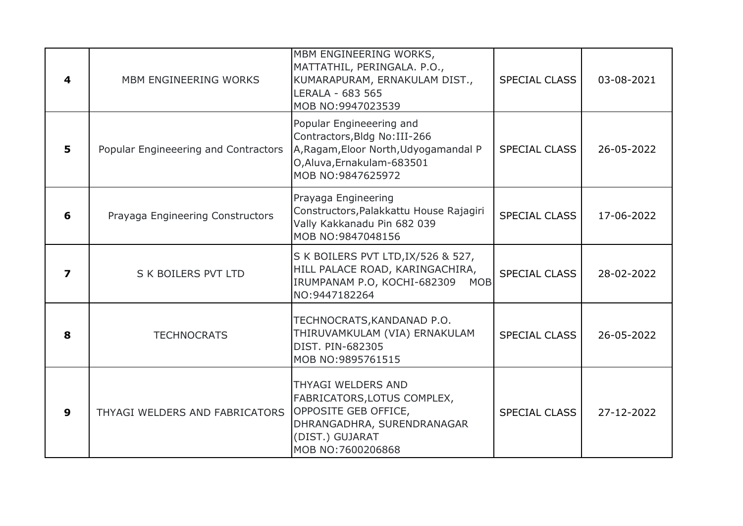| 4                | MBM ENGINEERING WORKS                | MBM ENGINEERING WORKS,<br>MATTATHIL, PERINGALA. P.O.,<br>KUMARAPURAM, ERNAKULAM DIST.,<br>LERALA - 683 565<br>MOB NO:9947023539                        | <b>SPECIAL CLASS</b> | 03-08-2021 |
|------------------|--------------------------------------|--------------------------------------------------------------------------------------------------------------------------------------------------------|----------------------|------------|
| 5                | Popular Engineeering and Contractors | Popular Engineeering and<br>Contractors, Bldg No: III-266<br>A, Ragam, Eloor North, Udyogamandal P<br>O, Aluva, Ernakulam-683501<br>MOB NO:9847625972  | SPECIAL CLASS        | 26-05-2022 |
| 6                | Prayaga Engineering Constructors     | Prayaga Engineering<br>Constructors, Palakkattu House Rajagiri<br>Vally Kakkanadu Pin 682 039<br>MOB NO:9847048156                                     | <b>SPECIAL CLASS</b> | 17-06-2022 |
| 7                | S K BOILERS PVT LTD                  | S K BOILERS PVT LTD, IX/526 & 527,<br>HILL PALACE ROAD, KARINGACHIRA,<br>IRUMPANAM P.O, KOCHI-682309 MOB<br>NO:9447182264                              | <b>SPECIAL CLASS</b> | 28-02-2022 |
| 8                | <b>TECHNOCRATS</b>                   | TECHNOCRATS, KANDANAD P.O.<br>THIRUVAMKULAM (VIA) ERNAKULAM<br>DIST. PIN-682305<br>MOB NO:9895761515                                                   | SPECIAL CLASS        | 26-05-2022 |
| $\boldsymbol{9}$ | THYAGI WELDERS AND FABRICATORS       | <b>THYAGI WELDERS AND</b><br>FABRICATORS, LOTUS COMPLEX,<br>OPPOSITE GEB OFFICE,<br>DHRANGADHRA, SURENDRANAGAR<br>(DIST.) GUJARAT<br>MOB NO:7600206868 | <b>SPECIAL CLASS</b> | 27-12-2022 |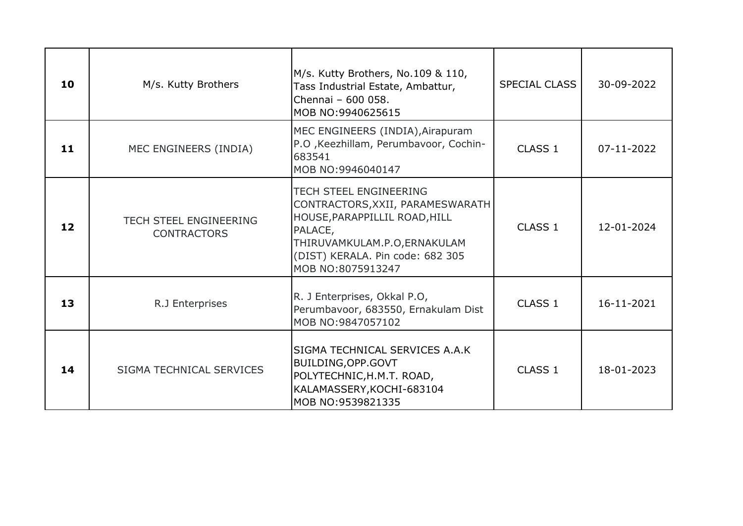| 10 | M/s. Kutty Brothers                                 | M/s. Kutty Brothers, No.109 & 110,<br>Tass Industrial Estate, Ambattur,<br>Chennai - 600 058.<br>MOB NO:9940625615                                                                                     | <b>SPECIAL CLASS</b> | 30-09-2022 |
|----|-----------------------------------------------------|--------------------------------------------------------------------------------------------------------------------------------------------------------------------------------------------------------|----------------------|------------|
| 11 | MEC ENGINEERS (INDIA)                               | MEC ENGINEERS (INDIA), Airapuram<br>P.O , Keezhillam, Perumbavoor, Cochin-<br>683541<br>MOB NO:9946040147                                                                                              | CLASS 1              | 07-11-2022 |
| 12 | <b>TECH STEEL ENGINEERING</b><br><b>CONTRACTORS</b> | <b>TECH STEEL ENGINEERING</b><br>CONTRACTORS, XXII, PARAMESWARATH<br>HOUSE, PARAPPILLIL ROAD, HILL<br>PALACE,<br>THIRUVAMKULAM.P.O, ERNAKULAM<br>(DIST) KERALA. Pin code: 682 305<br>MOB NO:8075913247 | CLASS 1              | 12-01-2024 |
| 13 | R.J Enterprises                                     | R. J Enterprises, Okkal P.O,<br>Perumbavoor, 683550, Ernakulam Dist<br>MOB NO:9847057102                                                                                                               | CLASS 1              | 16-11-2021 |
| 14 | SIGMA TECHNICAL SERVICES                            | SIGMA TECHNICAL SERVICES A.A.K<br>BUILDING, OPP. GOVT<br>POLYTECHNIC, H.M.T. ROAD,<br>KALAMASSERY, KOCHI-683104<br>MOB NO:9539821335                                                                   | CLASS <sub>1</sub>   | 18-01-2023 |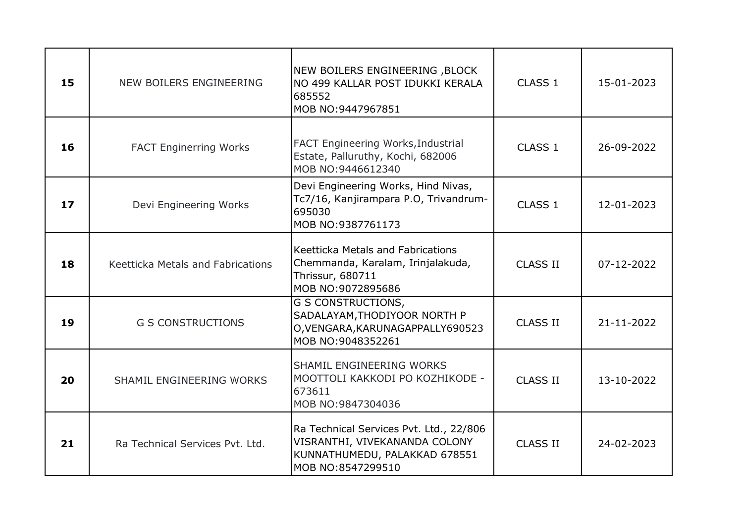| 15 | NEW BOILERS ENGINEERING                  | NEW BOILERS ENGINEERING , BLOCK<br>NO 499 KALLAR POST IDUKKI KERALA<br>685552<br>MOB NO:9447967851                             | CLASS 1            | 15-01-2023       |
|----|------------------------------------------|--------------------------------------------------------------------------------------------------------------------------------|--------------------|------------------|
| 16 | <b>FACT Enginerring Works</b>            | <b>FACT Engineering Works, Industrial</b><br>Estate, Palluruthy, Kochi, 682006<br>MOB NO:9446612340                            | CLASS <sub>1</sub> | 26-09-2022       |
| 17 | Devi Engineering Works                   | Devi Engineering Works, Hind Nivas,<br>Tc7/16, Kanjirampara P.O, Trivandrum-<br>695030<br>MOB NO:9387761173                    | CLASS 1            | 12-01-2023       |
| 18 | <b>Keetticka Metals and Fabrications</b> | Keetticka Metals and Fabrications<br>Chemmanda, Karalam, Irinjalakuda,<br>Thrissur, 680711<br>MOB NO:9072895686                | <b>CLASS II</b>    | 07-12-2022       |
| 19 | <b>G S CONSTRUCTIONS</b>                 | <b>G S CONSTRUCTIONS,</b><br>SADALAYAM, THODIYOOR NORTH P<br>O, VENGARA, KARUNAGAPPALLY690523<br>MOB NO:9048352261             | <b>CLASS II</b>    | $21 - 11 - 2022$ |
| 20 | SHAMIL ENGINEERING WORKS                 | SHAMIL ENGINEERING WORKS<br>MOOTTOLI KAKKODI PO KOZHIKODE -<br>673611<br>MOB NO:9847304036                                     | <b>CLASS II</b>    | 13-10-2022       |
| 21 | Ra Technical Services Pvt. Ltd.          | Ra Technical Services Pvt. Ltd., 22/806<br>VISRANTHI, VIVEKANANDA COLONY<br>KUNNATHUMEDU, PALAKKAD 678551<br>MOB NO:8547299510 | <b>CLASS II</b>    | 24-02-2023       |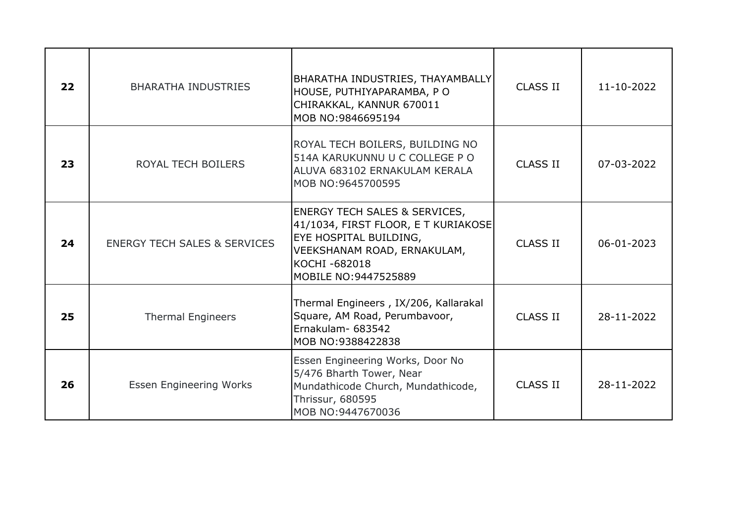| 22 | <b>BHARATHA INDUSTRIES</b>              | BHARATHA INDUSTRIES, THAYAMBALLY<br>HOUSE, PUTHIYAPARAMBA, PO<br>CHIRAKKAL, KANNUR 670011<br>MOB NO:9846695194                                                                           | <b>CLASS II</b> | $11 - 10 - 2022$ |
|----|-----------------------------------------|------------------------------------------------------------------------------------------------------------------------------------------------------------------------------------------|-----------------|------------------|
| 23 | ROYAL TECH BOILERS                      | ROYAL TECH BOILERS, BUILDING NO<br>514A KARUKUNNU U C COLLEGE P O<br>ALUVA 683102 ERNAKULAM KERALA<br>MOB NO:9645700595                                                                  | <b>CLASS II</b> | 07-03-2022       |
| 24 | <b>ENERGY TECH SALES &amp; SERVICES</b> | <b>ENERGY TECH SALES &amp; SERVICES,</b><br>41/1034, FIRST FLOOR, E T KURIAKOSE<br><b>EYE HOSPITAL BUILDING,</b><br>VEEKSHANAM ROAD, ERNAKULAM,<br>KOCHI-682018<br>MOBILE NO: 9447525889 | <b>CLASS II</b> | 06-01-2023       |
| 25 | <b>Thermal Engineers</b>                | Thermal Engineers, IX/206, Kallarakal<br>Square, AM Road, Perumbavoor,<br>Ernakulam- 683542<br>MOB NO:9388422838                                                                         | <b>CLASS II</b> | 28-11-2022       |
| 26 | <b>Essen Engineering Works</b>          | Essen Engineering Works, Door No<br>5/476 Bharth Tower, Near<br>Mundathicode Church, Mundathicode,<br><b>Thrissur, 680595</b><br>MOB NO:9447670036                                       | <b>CLASS II</b> | 28-11-2022       |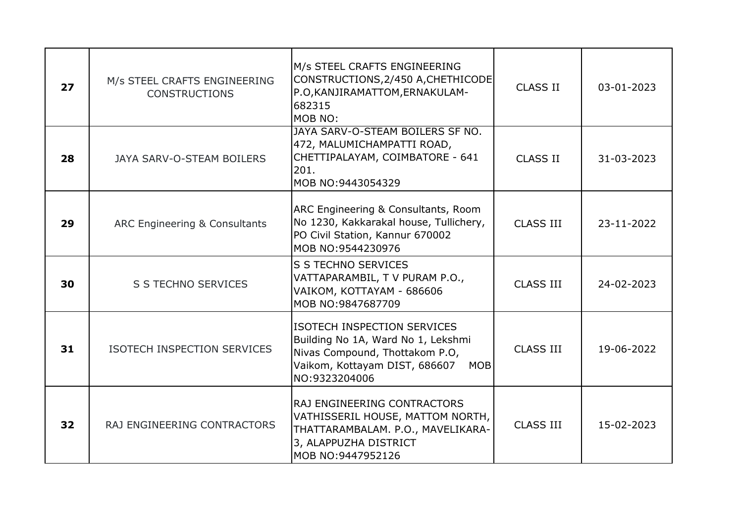| 27 | M/s STEEL CRAFTS ENGINEERING<br><b>CONSTRUCTIONS</b> | M/s STEEL CRAFTS ENGINEERING<br>CONSTRUCTIONS, 2/450 A, CHETHICODE<br>P.O, KANJIRAMATTOM, ERNAKULAM-<br>682315<br>MOB NO:                                                  | <b>CLASS II</b>  | 03-01-2023 |
|----|------------------------------------------------------|----------------------------------------------------------------------------------------------------------------------------------------------------------------------------|------------------|------------|
| 28 | JAYA SARV-O-STEAM BOILERS                            | JAYA SARV-O-STEAM BOILERS SF NO.<br>472, MALUMICHAMPATTI ROAD,<br>CHETTIPALAYAM, COIMBATORE - 641<br>201.<br>MOB NO:9443054329                                             | <b>CLASS II</b>  | 31-03-2023 |
| 29 | ARC Engineering & Consultants                        | ARC Engineering & Consultants, Room<br>No 1230, Kakkarakal house, Tullichery,<br>PO Civil Station, Kannur 670002<br>MOB NO:9544230976                                      | <b>CLASS III</b> | 23-11-2022 |
| 30 | S S TECHNO SERVICES                                  | S S TECHNO SERVICES<br>VATTAPARAMBIL, T V PURAM P.O.,<br>VAIKOM, KOTTAYAM - 686606<br>MOB NO:9847687709                                                                    | <b>CLASS III</b> | 24-02-2023 |
| 31 | ISOTECH INSPECTION SERVICES                          | <b>ISOTECH INSPECTION SERVICES</b><br>Building No 1A, Ward No 1, Lekshmi<br>Nivas Compound, Thottakom P.O,<br>Vaikom, Kottayam DIST, 686607<br><b>MOB</b><br>NO:9323204006 | <b>CLASS III</b> | 19-06-2022 |
| 32 | RAJ ENGINEERING CONTRACTORS                          | RAJ ENGINEERING CONTRACTORS<br>VATHISSERIL HOUSE, MATTOM NORTH,<br>THATTARAMBALAM. P.O., MAVELIKARA-<br>3, ALAPPUZHA DISTRICT<br>MOB NO:9447952126                         | <b>CLASS III</b> | 15-02-2023 |